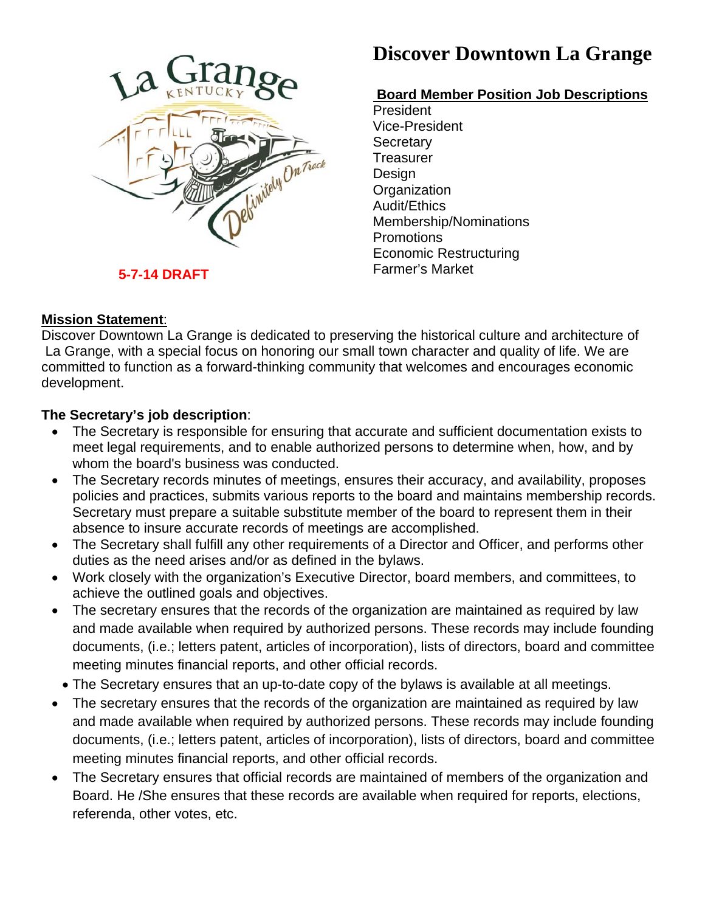

# **Discover Downtown La Grange**

## **Board Member Position Job Descriptions**

President Vice-President **Secretary Treasurer** Design **Organization** Audit/Ethics Membership/Nominations **Promotions** Economic Restructuring Farmer's Market

### **Mission Statement**:

Discover Downtown La Grange is dedicated to preserving the historical culture and architecture of La Grange, with a special focus on honoring our small town character and quality of life. We are committed to function as a forward-thinking community that welcomes and encourages economic development.

### **The Secretary's job description**:

- The Secretary is responsible for ensuring that accurate and sufficient documentation exists to meet legal requirements, and to enable authorized persons to determine when, how, and by whom the board's business was conducted.
- The Secretary records minutes of meetings, ensures their accuracy, and availability, proposes policies and practices, submits various reports to the board and maintains membership records. Secretary must prepare a suitable substitute member of the board to represent them in their absence to insure accurate records of meetings are accomplished.
- The Secretary shall fulfill any other requirements of a Director and Officer, and performs other duties as the need arises and/or as defined in the bylaws.
- Work closely with the organization's Executive Director, board members, and committees, to achieve the outlined goals and objectives.
- The secretary ensures that the records of the organization are maintained as required by law and made available when required by authorized persons. These records may include founding documents, (i.e.; letters patent, articles of incorporation), lists of directors, board and committee meeting minutes financial reports, and other official records.
- The Secretary ensures that an up-to-date copy of the bylaws is available at all meetings.
- The secretary ensures that the records of the organization are maintained as required by law and made available when required by authorized persons. These records may include founding documents, (i.e.; letters patent, articles of incorporation), lists of directors, board and committee meeting minutes financial reports, and other official records.
- The Secretary ensures that official records are maintained of members of the organization and Board. He /She ensures that these records are available when required for reports, elections, referenda, other votes, etc.